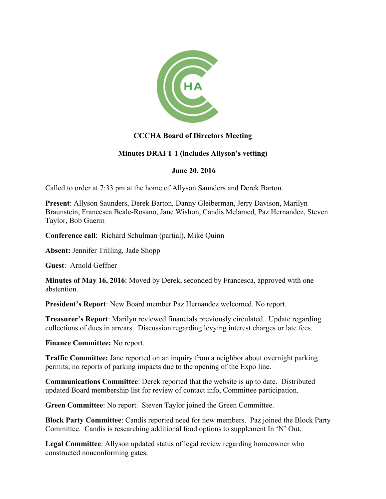

## **CCCHA Board of Directors Meeting**

## **Minutes DRAFT 1 (includes Allyson's vetting)**

## **June 20, 2016**

Called to order at 7:33 pm at the home of Allyson Saunders and Derek Barton.

**Present**: Allyson Saunders, Derek Barton, Danny Gleiberman, Jerry Davison, Marilyn Braunstein, Francesca Beale-Rosano, Jane Wishon, Candis Melamed, Paz Hernandez, Steven Taylor, Bob Guerin

**Conference call**: Richard Schulman (partial), Mike Quinn

**Absent:** Jennifer Trilling, Jade Shopp

**Guest**: Arnold Geffner

**Minutes of May 16, 2016**: Moved by Derek, seconded by Francesca, approved with one abstention.

**President's Report**: New Board member Paz Hernandez welcomed. No report.

**Treasurer's Report**: Marilyn reviewed financials previously circulated. Update regarding collections of dues in arrears. Discussion regarding levying interest charges or late fees.

**Finance Committee:** No report.

**Traffic Committee:** Jane reported on an inquiry from a neighbor about overnight parking permits; no reports of parking impacts due to the opening of the Expo line.

**Communications Committee**: Derek reported that the website is up to date. Distributed updated Board membership list for review of contact info, Committee participation.

**Green Committee**: No report. Steven Taylor joined the Green Committee.

**Block Party Committee**: Candis reported need for new members. Paz joined the Block Party Committee. Candis is researching additional food options to supplement In 'N' Out.

**Legal Committee**: Allyson updated status of legal review regarding homeowner who constructed nonconforming gates.